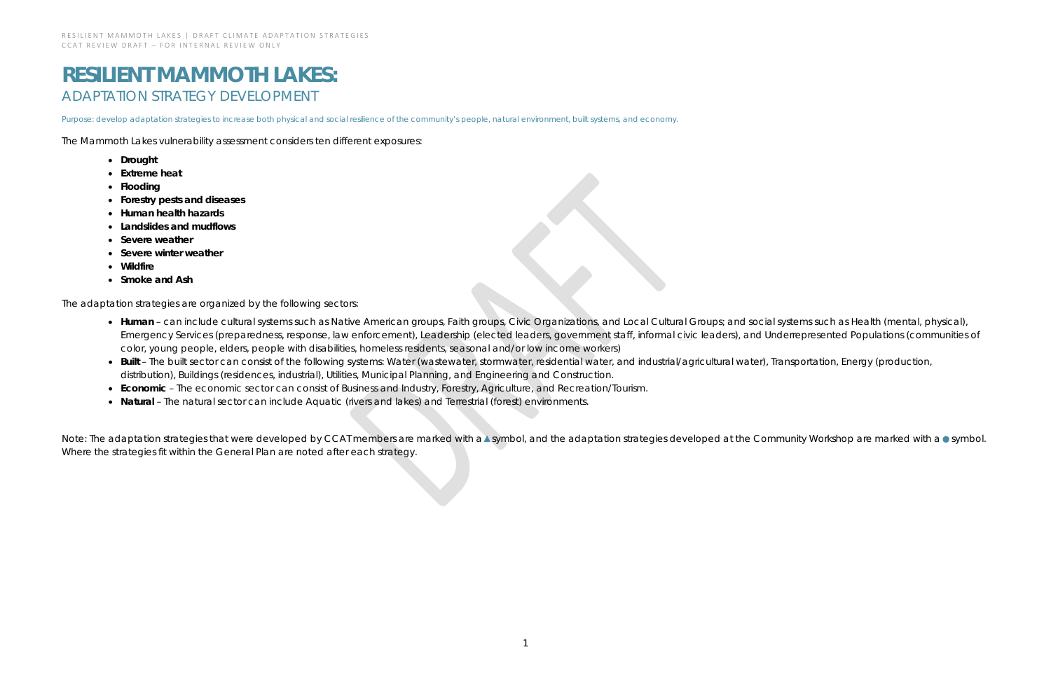# **RESILIENT MAMMOTH LAKES:** ADAPTATION STRATEGY DEVELOPMENT

*Purpose: develop adaptation strategies to increase both physical and social resilience of the community's people, natural environment, built systems, and economy.*

The Mammoth Lakes vulnerability assessment considers ten different exposures:

- **Drought**
- **Extreme heat**
- **Flooding**
- **Forestry pests and diseases**
- **Human health hazards**
- **Landslides and mudflows**
- **Severe weather**
- **Severe winter weather**
- **Wildfire**
- **Smoke and Ash**

The adaptation strategies are organized by the following sectors:

- Human can include cultural systems such as Native American groups, Faith groups, Civic Organizations, and Local Cultural Groups; and social systems such as Health (mental, physical), Emergency Services (preparedness, response, law enforcement), Leadership (elected leaders, government staff, informal civic leaders), and Underrepresented Populations (communities of color, young people, elders, people with disabilities, homeless residents, seasonal and/or low income workers)
- Built The built sector can consist of the following systems: Water (wastewater, stormwater, residential water, and industrial/agricultural water), Transportation, Energy (production, distribution), Buildings (residences, industrial), Utilities, Municipal Planning, and Engineering and Construction.
- **Economic** The economic sector can consist of Business and Industry, Forestry, Agriculture, and Recreation/Tourism.
- **Natural** The natural sector can include Aquatic (rivers and lakes) and Terrestrial (forest) environments.

Note: The adaptation strategies that were developed by CCAT members are marked with a▲symbol, and the adaptation strategies developed at the Community Workshop are marked with a ● symbol. Where the strategies fit within the General Plan are noted after each strategy.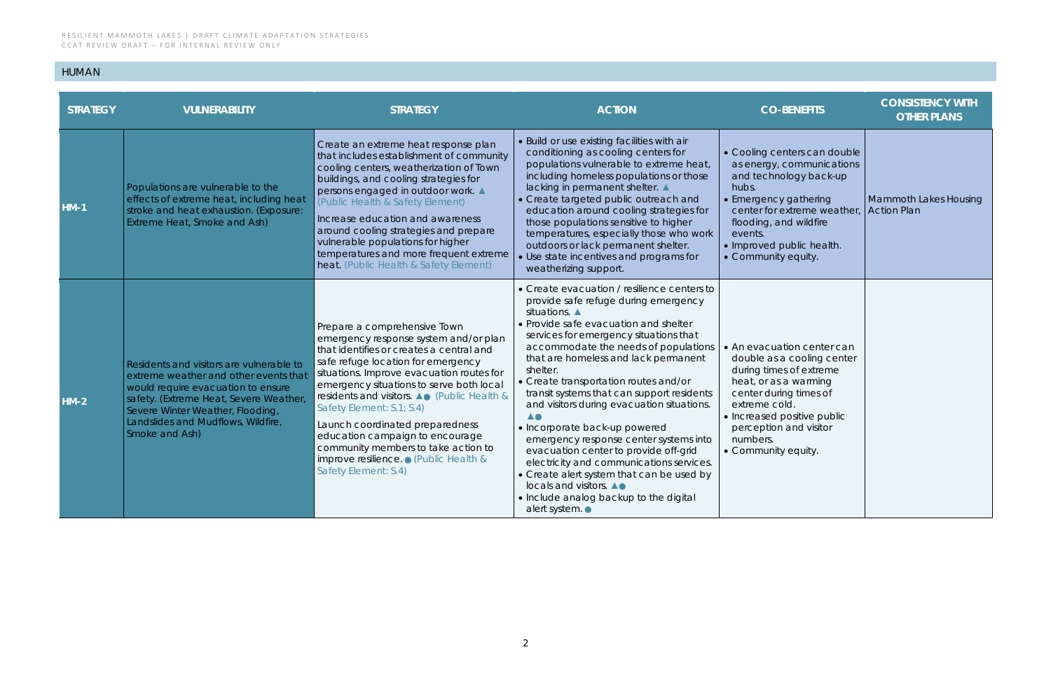## HUMAN

| <b>STRATEGY</b> | <b>VULNERABILITY</b>                                                                                                                                                                                                                                         | <b>STRATEGY</b>                                                                                                                                                                                                                                                                                                                                                                                                                                                                                             | <b>ACTION</b>                                                                                                                                                                                                                                                                                                                                                                                                                                                                                                                                                                                                                                                                                                                            | <b>CO-BENEFITS</b>                                                                                                                                                                                                                                  | <b>CONSISTENCY WITH</b><br><b>OTHER PLANS</b>      |
|-----------------|--------------------------------------------------------------------------------------------------------------------------------------------------------------------------------------------------------------------------------------------------------------|-------------------------------------------------------------------------------------------------------------------------------------------------------------------------------------------------------------------------------------------------------------------------------------------------------------------------------------------------------------------------------------------------------------------------------------------------------------------------------------------------------------|------------------------------------------------------------------------------------------------------------------------------------------------------------------------------------------------------------------------------------------------------------------------------------------------------------------------------------------------------------------------------------------------------------------------------------------------------------------------------------------------------------------------------------------------------------------------------------------------------------------------------------------------------------------------------------------------------------------------------------------|-----------------------------------------------------------------------------------------------------------------------------------------------------------------------------------------------------------------------------------------------------|----------------------------------------------------|
| $HM-1$          | Populations are vulnerable to the<br>effects of extreme heat, including heat<br>stroke and heat exhaustion. (Exposure:<br>Extreme Heat, Smoke and Ash)                                                                                                       | Create an extreme heat response plan<br>that includes establishment of community<br>cooling centers, weatherization of Town<br>buildings, and cooling strategies for<br>persons engaged in outdoor work. ▲<br>(Public Health & Safety Element)<br>Increase education and awareness<br>around cooling strategies and prepare<br>vulnerable populations for higher<br>temperatures and more frequent extreme<br>heat. (Public Health & Safety Element)                                                        | • Build or use existing facilities with air<br>conditioning as cooling centers for<br>populations vulnerable to extreme heat,<br>including homeless populations or those<br>lacking in permanent shelter. ▲<br>• Create targeted public outreach and<br>education around cooling strategies for<br>those populations sensitive to higher<br>temperatures, especially those who work<br>outdoors or lack permanent shelter.<br>Use state incentives and programs for<br>weatherizing support.                                                                                                                                                                                                                                             | • Cooling centers can double<br>as energy, communications<br>and technology back-up<br>hubs.<br>• Emergency gathering<br>center for extreme weather,<br>flooding, and wildfire<br>events.<br>· Improved public health.<br>• Community equity.       | <b>Mammoth Lakes Housing</b><br><b>Action Plan</b> |
| $HM-2$          | Residents and visitors are vulnerable to<br>extreme weather and other events that<br>would require evacuation to ensure<br>safety. (Extreme Heat, Severe Weather<br>Severe Winter Weather, Flooding,<br>Landslides and Mudflows, Wildfire,<br>Smoke and Ash) | Prepare a comprehensive Town<br>emergency response system and/or plan<br>that identifies or creates a central and<br>safe refuge location for emergency<br>situations. Improve evacuation routes for<br>emergency situations to serve both local<br>residents and visitors. ▲● (Public Health &<br>Safety Element: S.1; S.4)<br>Launch coordinated preparedness<br>education campaign to encourage<br>community members to take action to<br>improve resilience. ● (Public Health &<br>Safety Element: S.4) | • Create evacuation / resilience centers to<br>provide safe refuge during emergency<br>situations.<br>• Provide safe evacuation and shelter<br>services for emergency situations that<br>accommodate the needs of populations<br>that are homeless and lack permanent<br>shelter.<br>• Create transportation routes and/or<br>transit systems that can support residents<br>and visitors during evacuation situations.<br><b>AO</b><br>• Incorporate back-up powered<br>emergency response center systems into<br>evacuation center to provide off-grid<br>electricity and communications services.<br>• Create alert system that can be used by<br>locals and visitors. A.<br>• Include analog backup to the digital<br>alert system. • | • An evacuation center can<br>double as a cooling center<br>during times of extreme<br>heat, or as a warming<br>center during times of<br>extreme cold.<br>• Increased positive public<br>perception and visitor<br>numbers.<br>• Community equity. |                                                    |

| <b>CO-BENEFITS</b>                                                                                                                                                                                                                                | <b>CONSISTENCY WITH</b><br><b>OTHER PLANS</b>      |
|---------------------------------------------------------------------------------------------------------------------------------------------------------------------------------------------------------------------------------------------------|----------------------------------------------------|
| • Cooling centers can double<br>as energy, communications<br>and technology back-up<br>hubs.<br>• Emergency gathering<br>center for extreme weather,<br>flooding, and wildfire<br>events.<br>• Improved public health.<br>• Community equity.     | <b>Mammoth Lakes Housing</b><br><b>Action Plan</b> |
| • An evacuation center can<br>double as a cooling center<br>during times of extreme<br>heat, or as a warming<br>center during times of<br>extreme cold.<br>• Increased positive public<br>perception and visitor<br>numbers.<br>Community equity. |                                                    |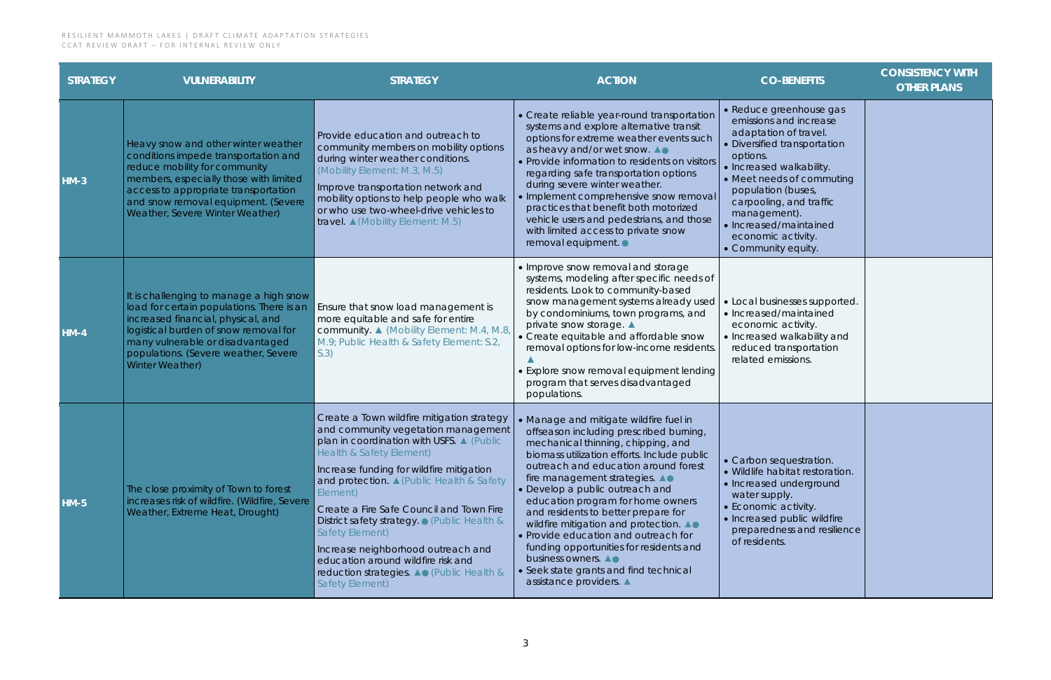| <b>STRATEGY</b> | <b>VULNERABILITY</b>                                                                                                                                                                                                                                                     | <b>STRATEGY</b>                                                                                                                                                                                                                                                                                                                                                                                                                                                                                                                       | <b>ACTION</b>                                                                                                                                                                                                                                                                                                                                                                                                                                                                                                                                                                          | <b>CO-BENEFITS</b>                                                                                                                                                                                                                                                                                                      | <b>CONSISTENCY WITH</b><br><b>OTHER PLANS</b> |
|-----------------|--------------------------------------------------------------------------------------------------------------------------------------------------------------------------------------------------------------------------------------------------------------------------|---------------------------------------------------------------------------------------------------------------------------------------------------------------------------------------------------------------------------------------------------------------------------------------------------------------------------------------------------------------------------------------------------------------------------------------------------------------------------------------------------------------------------------------|----------------------------------------------------------------------------------------------------------------------------------------------------------------------------------------------------------------------------------------------------------------------------------------------------------------------------------------------------------------------------------------------------------------------------------------------------------------------------------------------------------------------------------------------------------------------------------------|-------------------------------------------------------------------------------------------------------------------------------------------------------------------------------------------------------------------------------------------------------------------------------------------------------------------------|-----------------------------------------------|
| $HM-3$          | Heavy snow and other winter weather<br>conditions impede transportation and<br>reduce mobility for community<br>members, especially those with limited<br>access to appropriate transportation<br>and snow removal equipment. (Severe<br>Weather, Severe Winter Weather) | Provide education and outreach to<br>community members on mobility options<br>during winter weather conditions.<br>(Mobility Element: M.3, M.5)<br>Improve transportation network and<br>mobility options to help people who walk<br>or who use two-wheel-drive vehicles to<br>travel. $\triangle$ (Mobility Element: M.5)                                                                                                                                                                                                            | • Create reliable year-round transportation<br>systems and explore alternative transit<br>options for extreme weather events such<br>as heavy and/or wet snow. A.<br>• Provide information to residents on visitors<br>regarding safe transportation options<br>during severe winter weather.<br>• Implement comprehensive snow removal<br>practices that benefit both motorized<br>vehicle users and pedestrians, and those<br>with limited access to private snow<br>removal equipment.                                                                                              | • Reduce greenhouse gas<br>emissions and increase<br>adaptation of travel.<br>• Diversified transportation<br>options.<br>• Increased walkability.<br>• Meet needs of commuting<br>population (buses,<br>carpooling, and traffic<br>management).<br>• Increased/maintained<br>economic activity.<br>• Community equity. |                                               |
| $HM-4$          | It is challenging to manage a high snow<br>load for certain populations. There is an<br>increased financial, physical, and<br>logistical burden of snow removal for<br>many vulnerable or disadvantaged<br>populations. (Severe weather, Severe<br>Winter Weather)       | Ensure that snow load management is<br>more equitable and safe for entire<br>community. ▲ (Mobility Element: M.4, M.8,<br>M.9; Public Health & Safety Element: S.2,<br>S.3)                                                                                                                                                                                                                                                                                                                                                           | • Improve snow removal and storage<br>systems, modeling after specific needs of<br>residents. Look to community-based<br>snow management systems already used<br>by condominiums, town programs, and<br>private snow storage. ▲<br>• Create equitable and affordable snow<br>removal options for low-income residents.<br>• Explore snow removal equipment lending<br>program that serves disadvantaged<br>populations.                                                                                                                                                                | • Local businesses supported.<br>• Increased/maintained<br>economic activity.<br>• Increased walkability and<br>reduced transportation<br>related emissions.                                                                                                                                                            |                                               |
| <b>HM-5</b>     | The close proximity of Town to forest<br>increases risk of wildfire. (Wildfire, Severe<br>Weather, Extreme Heat, Drought)                                                                                                                                                | Create a Town wildfire mitigation strategy<br>and community vegetation management<br>plan in coordination with USFS. A (Public<br><b>Health &amp; Safety Element)</b><br>Increase funding for wildfire mitigation<br>and protection. A (Public Health & Safety<br>Element)<br>Create a Fire Safe Council and Town Fire<br>District safety strategy. • (Public Health &<br>Safety Element)<br>Increase neighborhood outreach and<br>education around wildfire risk and<br>reduction strategies. ▲● (Public Health &<br>Safety Element) | • Manage and mitigate wildfire fuel in<br>offseason including prescribed burning,<br>mechanical thinning, chipping, and<br>biomass utilization efforts. Include public<br>outreach and education around forest<br>fire management strategies. A.<br>• Develop a public outreach and<br>education program for home owners<br>and residents to better prepare for<br>wildfire mitigation and protection. A.<br>• Provide education and outreach for<br>funding opportunities for residents and<br>business owners. AO<br>Seek state grants and find technical<br>assistance providers. ▲ | • Carbon sequestration.<br>· Wildlife habitat restoration.<br>• Increased underground<br>water supply.<br>• Economic activity.<br>• Increased public wildfire<br>preparedness and resilience<br>of residents.                                                                                                           |                                               |

| <b>CO-BENEFITS</b>                                                                                                                                                                                                                                                                                                      | <b>CONSISTENCY WITH</b><br><b>OTHER PLANS</b> |
|-------------------------------------------------------------------------------------------------------------------------------------------------------------------------------------------------------------------------------------------------------------------------------------------------------------------------|-----------------------------------------------|
| • Reduce greenhouse gas<br>emissions and increase<br>adaptation of travel.<br>• Diversified transportation<br>options.<br>• Increased walkability.<br>• Meet needs of commuting<br>population (buses,<br>carpooling, and traffic<br>management).<br>• Increased/maintained<br>economic activity.<br>• Community equity. |                                               |
| • Local businesses supported.<br>· Increased/maintained<br>economic activity.<br>• Increased walkability and<br>reduced transportation<br>related emissions.                                                                                                                                                            |                                               |
| • Carbon sequestration.<br>· Wildlife habitat restoration.<br>· Increased underground<br>water supply.<br>• Economic activity.<br>· Increased public wildfire<br>preparedness and resilience<br>of residents.                                                                                                           |                                               |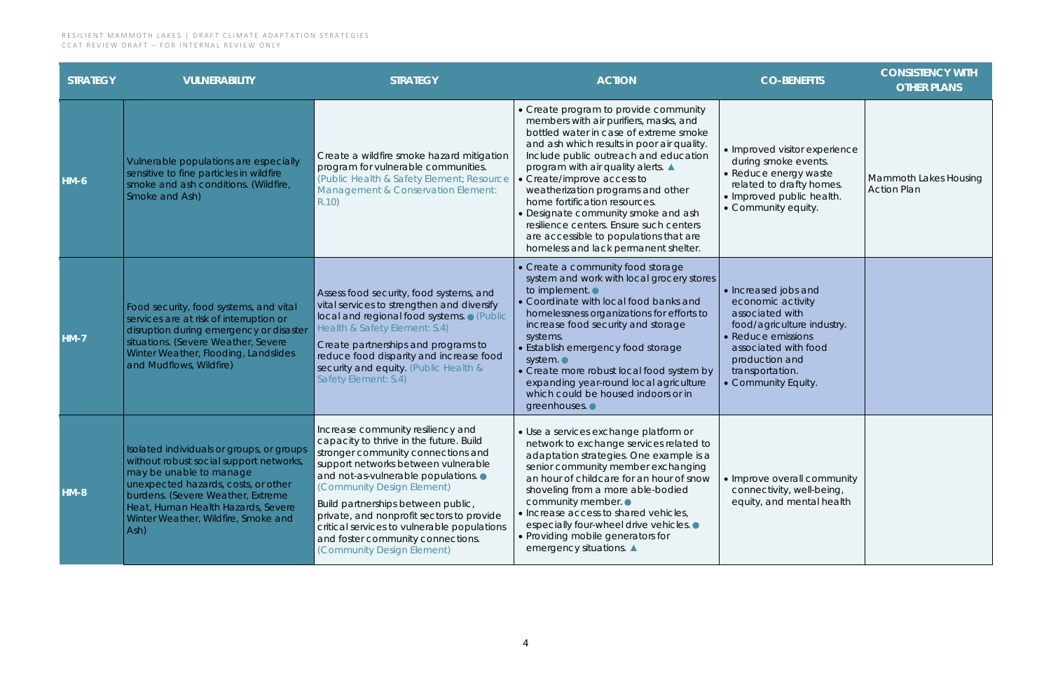| <b>STRATEGY</b> | <b>VULNERABILITY</b>                                                                                                                                                                                                                                                             | <b>STRATEGY</b>                                                                                                                                                                                                                                                                                                                                                                                                                    | <b>ACTION</b>                                                                                                                                                                                                                                                                                                                                                                                                                                                                                                                | <b>CO-BENEFITS</b>                                                                                                                                                                                 | <b>CONSISTENCY WITH</b><br><b>OTHER PLANS</b> |
|-----------------|----------------------------------------------------------------------------------------------------------------------------------------------------------------------------------------------------------------------------------------------------------------------------------|------------------------------------------------------------------------------------------------------------------------------------------------------------------------------------------------------------------------------------------------------------------------------------------------------------------------------------------------------------------------------------------------------------------------------------|------------------------------------------------------------------------------------------------------------------------------------------------------------------------------------------------------------------------------------------------------------------------------------------------------------------------------------------------------------------------------------------------------------------------------------------------------------------------------------------------------------------------------|----------------------------------------------------------------------------------------------------------------------------------------------------------------------------------------------------|-----------------------------------------------|
| $HM-6$          | Vulnerable populations are especially<br>sensitive to fine particles in wildfire<br>smoke and ash conditions. (Wildfire,<br>Smoke and Ash)                                                                                                                                       | Create a wildfire smoke hazard mitigation<br>program for vulnerable communities.<br>(Public Health & Safety Element; Resource<br>Management & Conservation Element:<br>R.10)                                                                                                                                                                                                                                                       | • Create program to provide community<br>members with air purifiers, masks, and<br>bottled water in case of extreme smoke<br>and ash which results in poor air quality.<br>Include public outreach and education<br>program with air quality alerts.<br>• Create/improve access to<br>weatherization programs and other<br>home fortification resources.<br>• Designate community smoke and ash<br>resilience centers. Ensure such centers<br>are accessible to populations that are<br>homeless and lack permanent shelter. | • Improved visitor experience<br>during smoke events.<br>• Reduce energy waste<br>related to drafty homes.<br>• Improved public health.<br>• Community equity.                                     | Mammoth Lakes Housing<br><b>Action Plan</b>   |
| $HM-7$          | Food security, food systems, and vital<br>services are at risk of interruption or<br>disruption during emergency or disaster<br>situations. (Severe Weather, Severe<br>Winter Weather, Flooding, Landslides<br>and Mudflows, Wildfire)                                           | Assess food security, food systems, and<br>vital services to strengthen and diversify<br>local and regional food systems. • (Public<br>Health & Safety Element: S.4)<br>Create partnerships and programs to<br>reduce food disparity and increase food<br>security and equity. (Public Health &<br>Safety Element: S.4)                                                                                                            | • Create a community food storage<br>system and work with local grocery stores<br>to implement. $\bullet$<br>• Coordinate with local food banks and<br>homelessness organizations for efforts to<br>increase food security and storage<br>systems.<br>• Establish emergency food storage<br>system. •<br>• Create more robust local food system by<br>expanding year-round local agriculture<br>which could be housed indoors or in<br>greenhouses. •                                                                        | • Increased jobs and<br>economic activity<br>associated with<br>food/agriculture industry.<br>Reduce emissions<br>associated with food<br>production and<br>transportation.<br>• Community Equity. |                                               |
| <b>HM-8</b>     | Isolated individuals or groups, or groups<br>without robust social support networks,<br>may be unable to manage<br>unexpected hazards, costs, or other<br>burdens. (Severe Weather, Extreme<br>Heat, Human Health Hazards, Severe<br>Winter Weather, Wildfire, Smoke and<br>Ash) | Increase community resiliency and<br>capacity to thrive in the future. Build<br>stronger community connections and<br>support networks between vulnerable<br>and not-as-vulnerable populations.<br>(Community Design Element)<br>Build partnerships between public,<br>private, and nonprofit sectors to provide<br>critical services to vulnerable populations<br>and foster community connections.<br>(Community Design Element) | · Use a services exchange platform or<br>network to exchange services related to<br>adaptation strategies. One example is a<br>senior community member exchanging<br>an hour of childcare for an hour of snow<br>shoveling from a more able-bodied<br>community member.<br>• Increase access to shared vehicles,<br>especially four-wheel drive vehicles. •<br>• Providing mobile generators for<br>emergency situations. ▲                                                                                                  | • Improve overall community<br>connectivity, well-being,<br>equity, and mental health                                                                                                              |                                               |

| <b>CO-BENEFITS</b>                                                                                                                                                                                 | <b>CONSISTENCY WITH</b><br><b>OTHER PLANS</b>      |
|----------------------------------------------------------------------------------------------------------------------------------------------------------------------------------------------------|----------------------------------------------------|
| · Improved visitor experience<br>during smoke events.<br>· Reduce energy waste<br>related to drafty homes.<br>· Improved public health.<br>• Community equity.                                     | <b>Mammoth Lakes Housing</b><br><b>Action Plan</b> |
| • Increased jobs and<br>economic activity<br>associated with<br>food/agriculture industry.<br>• Reduce emissions<br>associated with food<br>production and<br>transportation.<br>Community Equity. |                                                    |
| • Improve overall community<br>connectivity, well-being,<br>equity, and mental health                                                                                                              |                                                    |

<u> 1989 - Johann Barnett, mars eta idazlea (h. 1989).</u>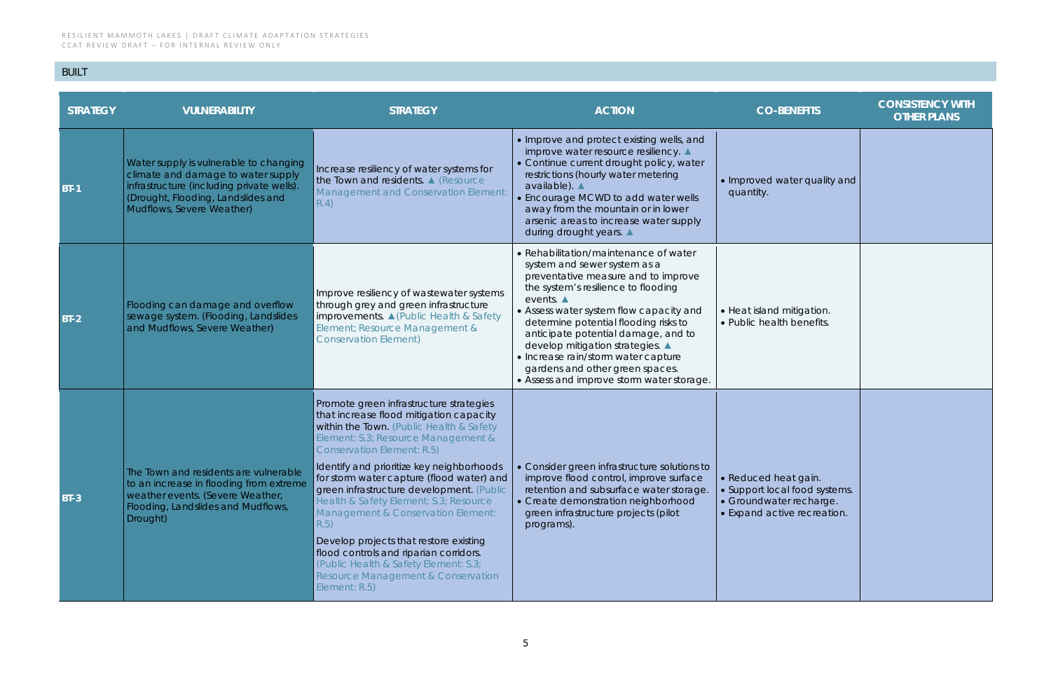## BUILT

| <b>STRATEGY</b> | <b>VULNERABILITY</b>                                                                                                                                                                         | <b>STRATEGY</b>                                                                                                                                                                                                                                                                                                                                                                                                                                                                                                                                                                                                                          | <b>ACTION</b>                                                                                                                                                                                                                                                                                                                                                                                                                                                         | <b>CO-BENEFITS</b>                                                                                              | <b>CONSISTENCY WITH</b><br><b>OTHER PLANS</b> |
|-----------------|----------------------------------------------------------------------------------------------------------------------------------------------------------------------------------------------|------------------------------------------------------------------------------------------------------------------------------------------------------------------------------------------------------------------------------------------------------------------------------------------------------------------------------------------------------------------------------------------------------------------------------------------------------------------------------------------------------------------------------------------------------------------------------------------------------------------------------------------|-----------------------------------------------------------------------------------------------------------------------------------------------------------------------------------------------------------------------------------------------------------------------------------------------------------------------------------------------------------------------------------------------------------------------------------------------------------------------|-----------------------------------------------------------------------------------------------------------------|-----------------------------------------------|
| $BT-1$          | Water supply is vulnerable to changing<br>climate and damage to water supply<br>infrastructure (including private wells).<br>(Drought, Flooding, Landslides and<br>Mudflows, Severe Weather) | Increase resiliency of water systems for<br>the Town and residents. A (Resource<br>Management and Conservation Element:<br>R.4)                                                                                                                                                                                                                                                                                                                                                                                                                                                                                                          | • Improve and protect existing wells, and<br>improve water resource resiliency. ▲<br>• Continue current drought policy, water<br>restrictions (hourly water metering<br>available). ▲<br>• Encourage MCWD to add water wells<br>away from the mountain or in lower<br>arsenic areas to increase water supply<br>during drought years. ▲                                                                                                                               | • Improved water quality and<br>quantity.                                                                       |                                               |
| $BT-2$          | Flooding can damage and overflow<br>sewage system. (Flooding, Landslides<br>and Mudflows, Severe Weather)                                                                                    | Improve resiliency of wastewater systems<br>through grey and green infrastructure<br>improvements. ▲ (Public Health & Safety<br>Element; Resource Management &<br><b>Conservation Element)</b>                                                                                                                                                                                                                                                                                                                                                                                                                                           | • Rehabilitation/maintenance of water<br>system and sewer system as a<br>preventative measure and to improve<br>the system's resilience to flooding<br>events. $\blacktriangle$<br>• Assess water system flow capacity and<br>determine potential flooding risks to<br>anticipate potential damage, and to<br>develop mitigation strategies. ▲<br>• Increase rain/storm water capture<br>gardens and other green spaces.<br>• Assess and improve storm water storage. | • Heat island mitigation.<br>• Public health benefits.                                                          |                                               |
| $BT-3$          | The Town and residents are vulnerable<br>to an increase in flooding from extreme<br>weather events. (Severe Weather,<br>Flooding, Landslides and Mudflows,<br>Drought)                       | Promote green infrastructure strategies<br>that increase flood mitigation capacity<br>within the Town. (Public Health & Safety<br>Element: S.3; Resource Management &<br><b>Conservation Element: R.5)</b><br>Identify and prioritize key neighborhoods<br>for storm water capture (flood water) and<br>green infrastructure development. (Public<br>Health & Safety Element: S.3; Resource<br>Management & Conservation Element:<br>R.5)<br>Develop projects that restore existing<br>flood controls and riparian corridors.<br>(Public Health & Safety Element: S.3;<br><b>Resource Management &amp; Conservation</b><br>Element: R.5) | • Consider green infrastructure solutions to<br>improve flood control, improve surface<br>retention and subsurface water storage.<br>• Create demonstration neighborhood<br>green infrastructure projects (pilot<br>programs).                                                                                                                                                                                                                                        | · Reduced heat gain.<br>• Support local food systems.<br>• Groundwater recharge.<br>• Expand active recreation. |                                               |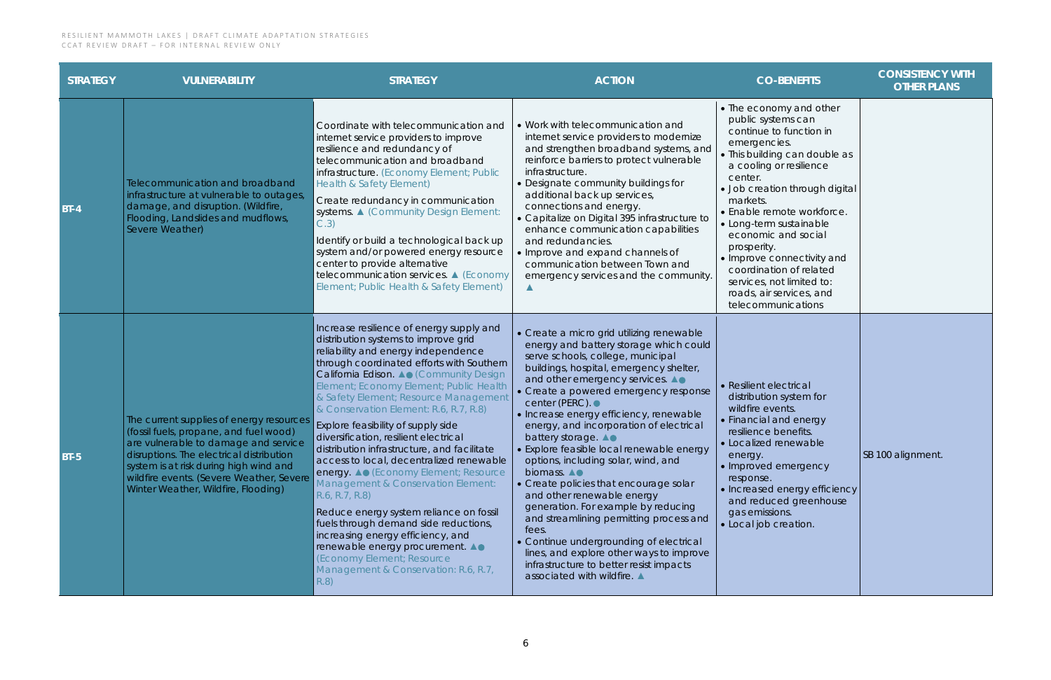| <b>STRATEGY</b> | <b>VULNERABILITY</b>                                                                                                                                                                                                                                                                                | <b>STRATEGY</b>                                                                                                                                                                                                                                                                                                                                                                                                                                                                                                                                                                                                                                                                                                                                                                                                                                                  | <b>ACTION</b>                                                                                                                                                                                                                                                                                                                                                                                                                                                                                                                                                                                                                                                                                                                                                                                                                     | <b>CO-BENEFITS</b>                                                                                                                                                                                                                                                                                                                                                                                                                                   | <b>CONSISTENCY WITH</b><br><b>OTHER PLANS</b> |
|-----------------|-----------------------------------------------------------------------------------------------------------------------------------------------------------------------------------------------------------------------------------------------------------------------------------------------------|------------------------------------------------------------------------------------------------------------------------------------------------------------------------------------------------------------------------------------------------------------------------------------------------------------------------------------------------------------------------------------------------------------------------------------------------------------------------------------------------------------------------------------------------------------------------------------------------------------------------------------------------------------------------------------------------------------------------------------------------------------------------------------------------------------------------------------------------------------------|-----------------------------------------------------------------------------------------------------------------------------------------------------------------------------------------------------------------------------------------------------------------------------------------------------------------------------------------------------------------------------------------------------------------------------------------------------------------------------------------------------------------------------------------------------------------------------------------------------------------------------------------------------------------------------------------------------------------------------------------------------------------------------------------------------------------------------------|------------------------------------------------------------------------------------------------------------------------------------------------------------------------------------------------------------------------------------------------------------------------------------------------------------------------------------------------------------------------------------------------------------------------------------------------------|-----------------------------------------------|
| <b>BT-4</b>     | Telecommunication and broadband<br>infrastructure at vulnerable to outages,<br>damage, and disruption. (Wildfire,<br>Flooding, Landslides and mudflows,<br>Severe Weather)                                                                                                                          | Coordinate with telecommunication and<br>internet service providers to improve<br>resilience and redundancy of<br>telecommunication and broadband<br>infrastructure. (Economy Element; Public<br>Health & Safety Element)<br>Create redundancy in communication<br>systems. ▲ (Community Design Element:<br>C.3)<br>Identify or build a technological back up<br>system and/or powered energy resource<br>center to provide alternative<br>telecommunication services. ▲ (Economy<br>Element; Public Health & Safety Element)                                                                                                                                                                                                                                                                                                                                    | . Work with telecommunication and<br>internet service providers to modernize<br>and strengthen broadband systems, and<br>reinforce barriers to protect vulnerable<br>infrastructure.<br>• Designate community buildings for<br>additional back up services,<br>connections and energy.<br>· Capitalize on Digital 395 infrastructure to<br>enhance communication capabilities<br>and redundancies.<br>. Improve and expand channels of<br>communication between Town and<br>emergency services and the community.                                                                                                                                                                                                                                                                                                                 | • The economy and other<br>public systems can<br>continue to function in<br>emergencies.<br>• This building can double as<br>a cooling or resilience<br>center.<br>· Job creation through digital<br>markets.<br>• Enable remote workforce.<br>• Long-term sustainable<br>economic and social<br>prosperity.<br>• Improve connectivity and<br>coordination of related<br>services, not limited to:<br>roads, air services, and<br>telecommunications |                                               |
| <b>BT-5</b>     | The current supplies of energy resources<br>(fossil fuels, propane, and fuel wood)<br>are vulnerable to damage and service<br>disruptions. The electrical distribution<br>system is at risk during high wind and<br>wildfire events. (Severe Weather, Severe<br>Winter Weather, Wildfire, Flooding) | Increase resilience of energy supply and<br>distribution systems to improve grid<br>reliability and energy independence<br>through coordinated efforts with Southern<br>California Edison. A Community Design<br>Element; Economy Element; Public Health<br>& Safety Element; Resource Management<br>& Conservation Element: R.6, R.7, R.8)<br>Explore feasibility of supply side<br>diversification, resilient electrical<br>distribution infrastructure, and facilitate<br>access to local, decentralized renewable<br>energy. A CEconomy Element; Resource<br>Management & Conservation Element:<br>R.6, R.7, R.8)<br>Reduce energy system reliance on fossil<br>fuels through demand side reductions,<br>increasing energy efficiency, and<br>renewable energy procurement. A●<br>(Economy Element; Resource<br>Management & Conservation: R.6, R.7,<br>R.8) | • Create a micro grid utilizing renewable<br>energy and battery storage which could<br>serve schools, college, municipal<br>buildings, hospital, emergency shelter,<br>and other emergency services. A.<br>• Create a powered emergency response<br>center (PERC). ●<br>· Increase energy efficiency, renewable<br>energy, and incorporation of electrical<br>battery storage. A.<br>• Explore feasible local renewable energy<br>options, including solar, wind, and<br>biomass. $\triangle$<br>• Create policies that encourage solar<br>and other renewable energy<br>generation. For example by reducing<br>and streamlining permitting process and<br>fees.<br>• Continue undergrounding of electrical<br>lines, and explore other ways to improve<br>infrastructure to better resist impacts<br>associated with wildfire. ▲ | • Resilient electrical<br>distribution system for<br>wildfire events.<br>• Financial and energy<br>resilience benefits.<br>• Localized renewable<br>energy.<br>• Improved emergency<br>response.<br>• Increased energy efficiency<br>and reduced greenhouse<br>gas emissions.<br>· Local job creation.                                                                                                                                               | SB 100 alignment.                             |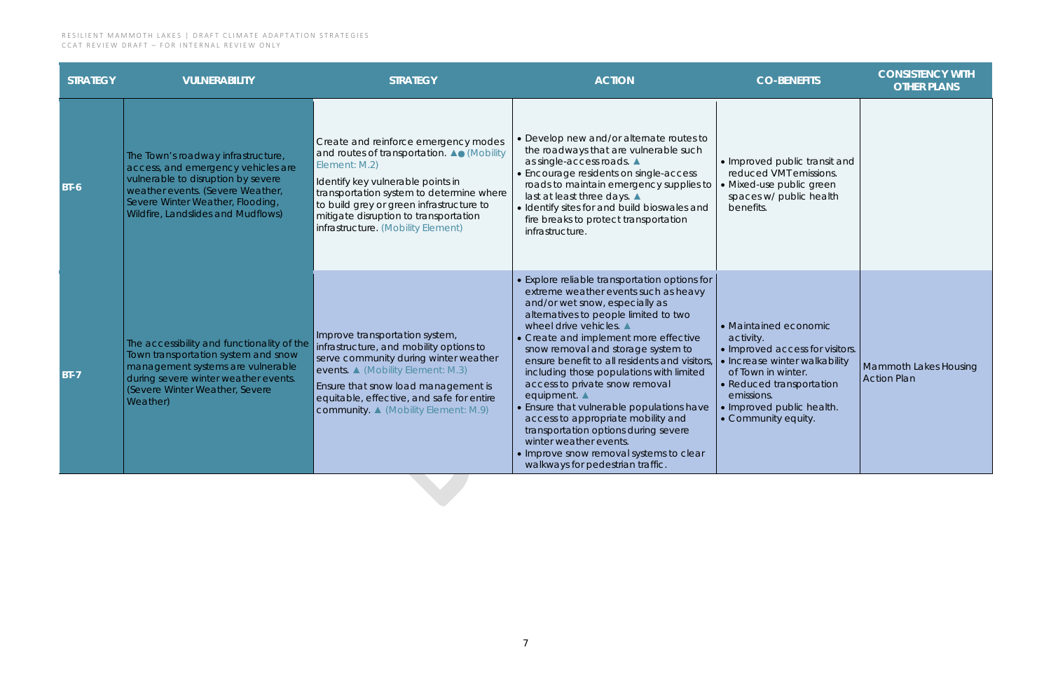| <b>STRATEGY</b> | <b>VULNERABILITY</b>                                                                                                                                                                                                         | <b>STRATEGY</b>                                                                                                                                                                                                                                                                                                 | <b>ACTION</b>                                                                                                                                                                                                                                                                                                                                                                                                                                                                                                                                                                                                                                               | <b>CO-BENEFITS</b>                                                                                                                                                                                                         | <b>CONSISTENCY WITH</b><br><b>OTHER PLANS</b>      |
|-----------------|------------------------------------------------------------------------------------------------------------------------------------------------------------------------------------------------------------------------------|-----------------------------------------------------------------------------------------------------------------------------------------------------------------------------------------------------------------------------------------------------------------------------------------------------------------|-------------------------------------------------------------------------------------------------------------------------------------------------------------------------------------------------------------------------------------------------------------------------------------------------------------------------------------------------------------------------------------------------------------------------------------------------------------------------------------------------------------------------------------------------------------------------------------------------------------------------------------------------------------|----------------------------------------------------------------------------------------------------------------------------------------------------------------------------------------------------------------------------|----------------------------------------------------|
| $BT-6$          | The Town's roadway infrastructure,<br>access, and emergency vehicles are<br>vulnerable to disruption by severe<br>weather events. (Severe Weather,<br>Severe Winter Weather, Flooding,<br>Wildfire, Landslides and Mudflows) | Create and reinforce emergency modes<br>and routes of transportation. AO (Mobility<br>Element: M.2)<br>Identify key vulnerable points in<br>transportation system to determine where<br>to build grey or green infrastructure to<br>mitigate disruption to transportation<br>infrastructure. (Mobility Element) | • Develop new and/or alternate routes to<br>the roadways that are vulnerable such<br>as single-access roads. ▲<br>• Encourage residents on single-access<br>roads to maintain emergency supplies to<br>last at least three days. ▲<br>· Identify sites for and build bioswales and<br>fire breaks to protect transportation<br>infrastructure.                                                                                                                                                                                                                                                                                                              | • Improved public transit and<br>reduced VMT emissions.<br>• Mixed-use public green<br>spaces w/ public health<br>benefits.                                                                                                |                                                    |
| $BT-7$          | The accessibility and functionality of the<br>Town transportation system and snow<br>management systems are vulnerable<br>during severe winter weather events.<br>(Severe Winter Weather, Severe<br>Weather)                 | Improve transportation system,<br>infrastructure, and mobility options to<br>serve community during winter weather<br>events. ▲ (Mobility Element: M.3)<br>Ensure that snow load management is<br>equitable, effective, and safe for entire<br><b>community ▲ (Mobility Element: M.9)</b>                       | • Explore reliable transportation options for<br>extreme weather events such as heavy<br>and/or wet snow, especially as<br>alternatives to people limited to two<br>wheel drive vehicles.<br>• Create and implement more effective<br>snow removal and storage system to<br>ensure benefit to all residents and visitors,<br>including those populations with limited<br>access to private snow removal<br>equipment. A<br>• Ensure that vulnerable populations have<br>access to appropriate mobility and<br>transportation options during severe<br>winter weather events.<br>• Improve snow removal systems to clear<br>walkways for pedestrian traffic. | • Maintained economic<br>activity.<br>· Improved access for visitors.<br>• Increase winter walkability<br>of Town in winter.<br>• Reduced transportation<br>emissions.<br>• Improved public health.<br>• Community equity. | <b>Mammoth Lakes Housing</b><br><b>Action Plan</b> |

| <b>CO-BENEFITS</b>                                                                                                                                                                                                         | <b>CONSISTENCY WITH</b><br><b>OTHER PLANS</b>      |
|----------------------------------------------------------------------------------------------------------------------------------------------------------------------------------------------------------------------------|----------------------------------------------------|
| • Improved public transit and<br>reduced VMT emissions.<br>• Mixed-use public green<br>spaces w/ public health<br>benefits.                                                                                                |                                                    |
| • Maintained economic<br>activity.<br>· Improved access for visitors.<br>· Increase winter walkability<br>of Town in winter.<br>• Reduced transportation<br>emissions.<br>• Improved public health.<br>• Community equity. | <b>Mammoth Lakes Housing</b><br><b>Action Plan</b> |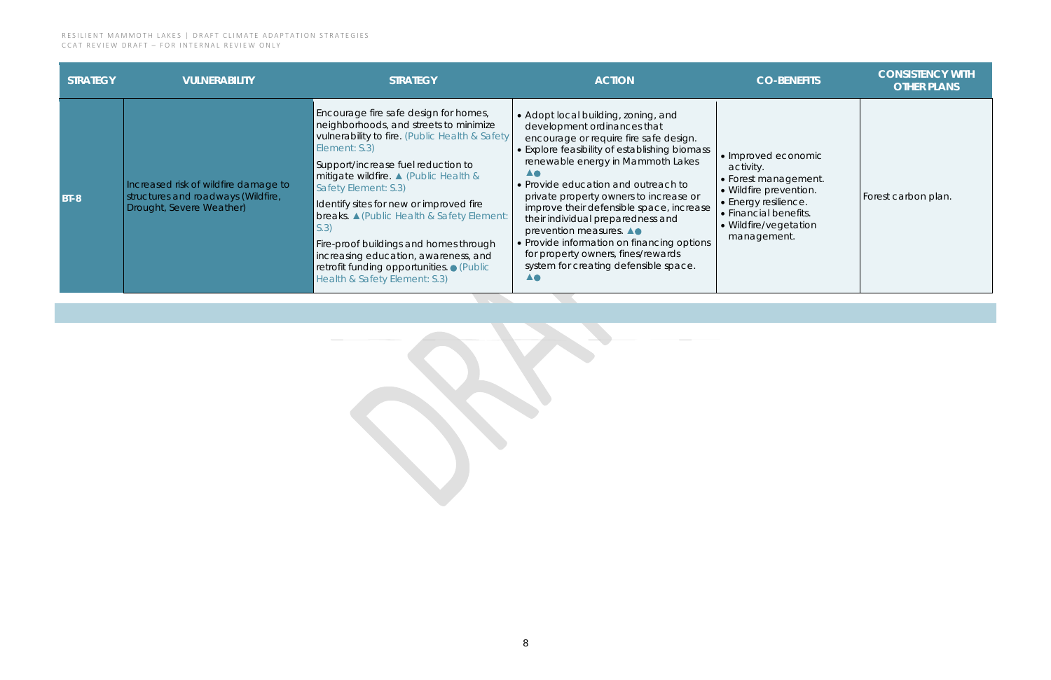| <b>STRATEGY</b> | <b>VULNERABILITY</b>                                                                                   | <b>STRATEGY</b>                                                                                                                                                                                                                                                                                                                                                                                                                                                                                                                    | <b>ACTION</b>                                                                                                                                                                                                                                                                                                                                                                                                                                                                                                                                          | <b>CO-BENEFITS</b>                                                                                                                                                          | <b>CONSISTENCY WITH</b><br><b>OTHER PLANS</b> |
|-----------------|--------------------------------------------------------------------------------------------------------|------------------------------------------------------------------------------------------------------------------------------------------------------------------------------------------------------------------------------------------------------------------------------------------------------------------------------------------------------------------------------------------------------------------------------------------------------------------------------------------------------------------------------------|--------------------------------------------------------------------------------------------------------------------------------------------------------------------------------------------------------------------------------------------------------------------------------------------------------------------------------------------------------------------------------------------------------------------------------------------------------------------------------------------------------------------------------------------------------|-----------------------------------------------------------------------------------------------------------------------------------------------------------------------------|-----------------------------------------------|
| <b>BT-8</b>     | Increased risk of wildfire damage to<br>structures and roadways (Wildfire,<br>Drought, Severe Weather) | Encourage fire safe design for homes,<br>neighborhoods, and streets to minimize<br>vulnerability to fire. (Public Health & Safety<br>Element: S.3)<br>Support/increase fuel reduction to<br>mitigate wildfire. ▲ (Public Health &<br>Safety Element: S.3)<br>I dentify sites for new or improved fire<br><b>breaks.</b> △ (Public Health & Safety Element:<br>S.3)<br>Fire-proof buildings and homes through<br>increasing education, awareness, and<br>retrofit funding opportunities. • (Public<br>Health & Safety Element: S.3) | • Adopt local building, zoning, and<br>development ordinances that<br>encourage or require fire safe design.<br>• Explore feasibility of establishing biomass<br>renewable energy in Mammoth Lakes<br><b>AO</b><br>• Provide education and outreach to<br>private property owners to increase or<br>improve their defensible space, increase<br>their individual preparedness and<br>prevention measures. A.<br>• Provide information on financing options<br>for property owners, fines/rewards<br>system for creating defensible space.<br><b>AO</b> | • Improved economic<br>activity.<br>• Forest management.<br>• Wildfire prevention.<br>• Energy resilience.<br>• Financial benefits.<br>• Wildfire/vegetation<br>management. | Forest carbon plan.                           |
|                 |                                                                                                        |                                                                                                                                                                                                                                                                                                                                                                                                                                                                                                                                    |                                                                                                                                                                                                                                                                                                                                                                                                                                                                                                                                                        |                                                                                                                                                                             |                                               |

| <b>CO-BENEFITS</b>                                                                                                                                                          | <b>CONSISTENCY WITH</b><br><b>OTHER PLANS</b> |
|-----------------------------------------------------------------------------------------------------------------------------------------------------------------------------|-----------------------------------------------|
| • Improved economic<br>activity.<br>• Forest management.<br>· Wildfire prevention.<br>• Energy resilience.<br>• Financial benefits.<br>• Wildfire/vegetation<br>management. | Forest carbon plan.                           |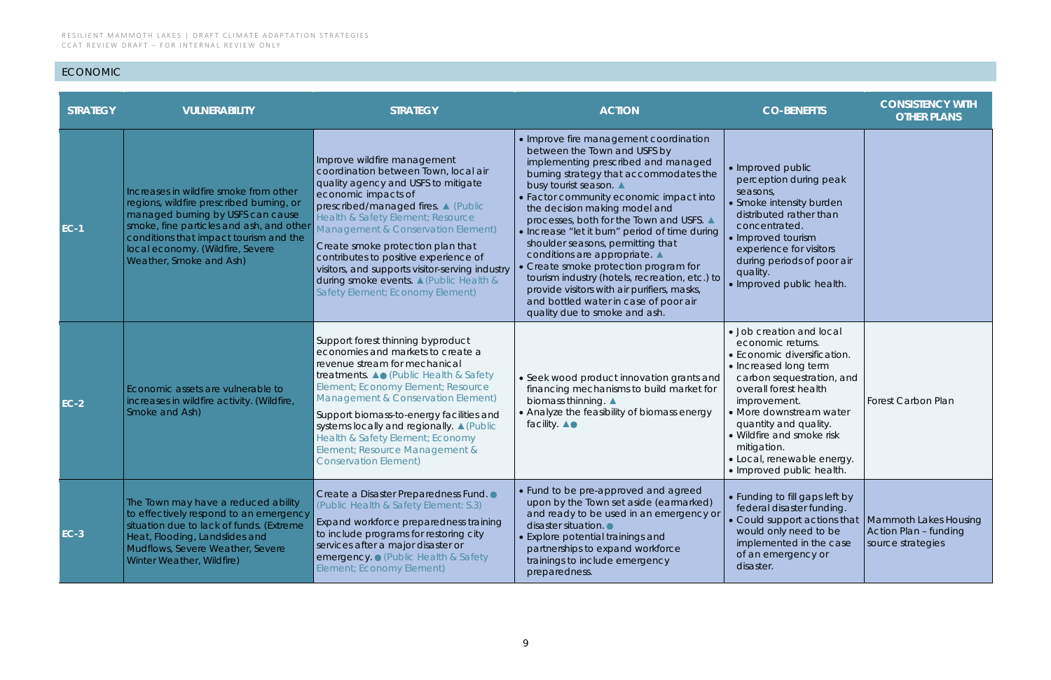## ECONOMIC

| <b>STRATEGY</b> | <b>VULNERABILITY</b>                                                                                                                                                                                                                                                         | <b>STRATEGY</b>                                                                                                                                                                                                                                                                                                                                                                                                                                                     | <b>ACTION</b>                                                                                                                                                                                                                                                                                                                                                                                                                                                                                                                                                                                                                                       | <b>CO-BENEFITS</b>                                                                                                                                                                                                                                                                                                                     | <b>CONSISTENCY WITH</b><br><b>OTHER PLANS</b> |
|-----------------|------------------------------------------------------------------------------------------------------------------------------------------------------------------------------------------------------------------------------------------------------------------------------|---------------------------------------------------------------------------------------------------------------------------------------------------------------------------------------------------------------------------------------------------------------------------------------------------------------------------------------------------------------------------------------------------------------------------------------------------------------------|-----------------------------------------------------------------------------------------------------------------------------------------------------------------------------------------------------------------------------------------------------------------------------------------------------------------------------------------------------------------------------------------------------------------------------------------------------------------------------------------------------------------------------------------------------------------------------------------------------------------------------------------------------|----------------------------------------------------------------------------------------------------------------------------------------------------------------------------------------------------------------------------------------------------------------------------------------------------------------------------------------|-----------------------------------------------|
| <b>EC-1</b>     | Increases in wildfire smoke from other<br>regions, wildfire prescribed burning, or<br>managed burning by USFS can cause<br>smoke, fine particles and ash, and other<br>conditions that impact tourism and the<br>local economy. (Wildfire, Severe<br>Weather, Smoke and Ash) | Improve wildfire management<br>coordination between Town, local air<br>quality agency and USFS to mitigate<br>economic impacts of<br>prescribed/managed fires. 4 (Public<br>Health & Safety Element; Resource<br>Management & Conservation Element)<br>Create smoke protection plan that<br>contributes to positive experience of<br>visitors, and supports visitor-serving industry<br>during smoke events. ▲ (Public Health &<br>Safety Element; Economy Element) | • Improve fire management coordination<br>between the Town and USFS by<br>implementing prescribed and managed<br>burning strategy that accommodates the<br>busy tourist season.<br>• Factor community economic impact into<br>the decision making model and<br>processes, both for the Town and USFS. ▲<br>• Increase "let it burn" period of time during<br>shoulder seasons, permitting that<br>conditions are appropriate. ▲<br>• Create smoke protection program for<br>tourism industry (hotels, recreation, etc.) to<br>provide visitors with air purifiers, masks,<br>and bottled water in case of poor air<br>quality due to smoke and ash. | • Improved public<br>perception during peak<br>seasons,<br>• Smoke intensity burden<br>distributed rather than<br>concentrated.<br>• Improved tourism<br>experience for visitors<br>during periods of poor air<br>quality.<br>• Improved public health.                                                                                |                                               |
| $EC-2$          | Economic assets are vulnerable to<br>increases in wildfire activity. (Wildfire,<br>Smoke and Ash)                                                                                                                                                                            | Support forest thinning byproduct<br>economies and markets to create a<br>revenue stream for mechanical<br>treatments. <b>A.</b> (Public Health & Safety<br>Element; Economy Element; Resource<br>Management & Conservation Element)<br>Support biomass-to-energy facilities and<br>systems locally and regionally. A (Public<br>Health & Safety Element; Economy<br>Element; Resource Management &<br><b>Conservation Element)</b>                                 | • Seek wood product innovation grants and<br>financing mechanisms to build market for<br>biomass thinning. ▲<br>• Analyze the feasibility of biomass energy<br>facility. <b>A</b> ●                                                                                                                                                                                                                                                                                                                                                                                                                                                                 | • Job creation and local<br>economic returns.<br>• Economic diversification.<br>• Increased long term<br>carbon sequestration, and<br>overall forest health<br>improvement.<br>• More downstream water<br>quantity and quality.<br>• Wildfire and smoke risk<br>mitigation.<br>· Local, renewable energy.<br>• Improved public health. | <b>Forest Carbon Plan</b>                     |
| <b>EC-3</b>     | The Town may have a reduced ability<br>to effectively respond to an emergency<br>situation due to lack of funds. (Extreme<br>Heat, Flooding, Landslides and<br>Mudflows, Severe Weather, Severe<br>Winter Weather, Wildfire)                                                 | Create a Disaster Preparedness Fund. •<br>(Public Health & Safety Element: S.3)<br>Expand workforce preparedness training<br>to include programs for restoring city<br>services after a major disaster or<br>emergency . (Public Health & Safety<br>Element; Economy Element)                                                                                                                                                                                       | • Fund to be pre-approved and agreed<br>upon by the Town set aside (earmarked)<br>and ready to be used in an emergency or<br>disaster situation.<br>• Explore potential trainings and<br>partnerships to expand workforce<br>trainings to include emergency<br>preparedness.                                                                                                                                                                                                                                                                                                                                                                        | • Funding to fill gaps left by<br>federal disaster funding.<br>$\bullet$ Could support actions that   Mammoth Lakes Housing<br>would only need to be<br>implemented in the case<br>of an emergency or<br>disaster.                                                                                                                     | Action Plan - funding<br>source strategies    |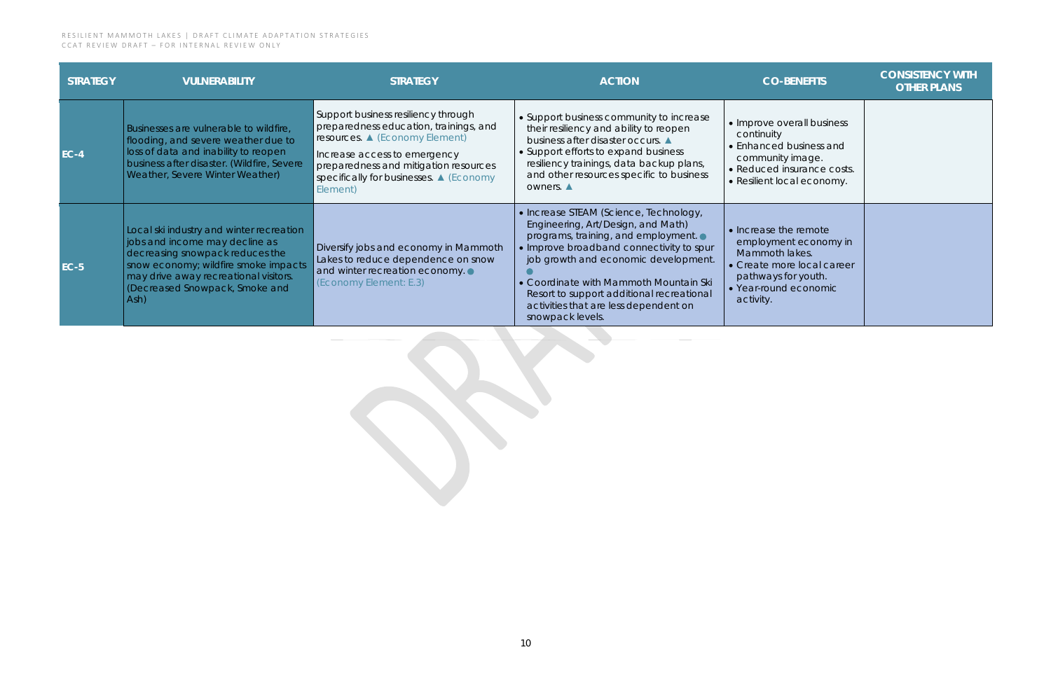| <b>STRATEGY</b> | <b>VULNERABILITY</b>                                                                                                                                                                                                                             | <b>STRATEGY</b>                                                                                                                                                                                                                                 | <b>ACTION</b>                                                                                                                                                                                                                                                                                                                                               | <b>CO-BENEFITS</b>                                                                                                                                          | <b>CONSISTENCY WITH</b><br><b>OTHER PLANS</b> |
|-----------------|--------------------------------------------------------------------------------------------------------------------------------------------------------------------------------------------------------------------------------------------------|-------------------------------------------------------------------------------------------------------------------------------------------------------------------------------------------------------------------------------------------------|-------------------------------------------------------------------------------------------------------------------------------------------------------------------------------------------------------------------------------------------------------------------------------------------------------------------------------------------------------------|-------------------------------------------------------------------------------------------------------------------------------------------------------------|-----------------------------------------------|
| $EC-4$          | Businesses are vulnerable to wildfire,<br>flooding, and severe weather due to<br>loss of data and inability to reopen<br>business after disaster. (Wildfire, Severe<br>Weather, Severe Winter Weather)                                           | Support business resiliency through<br>preparedness education, trainings, and<br>resources. ▲ (Economy Element)<br>Increase access to emergency<br>preparedness and mitigation resources<br>specifically for businesses. ▲ (Economy<br>Element) | • Support business community to increase<br>their resiliency and ability to reopen<br>business after disaster occurs.<br>• Support efforts to expand business<br>resiliency trainings, data backup plans,<br>and other resources specific to business<br>owners.                                                                                            | • Improve overall business<br>continuity<br>• Enhanced business and<br>community image.<br>• Reduced insurance costs.<br>• Resilient local economy.         |                                               |
| <b>EC-5</b>     | Local ski industry and winter recreation<br>jobs and income may decline as<br>decreasing snowpack reduces the<br>snow economy; wildfire smoke impacts<br>may drive away recreational visitors.<br>Gecreased Snowpack, Smoke and<br>$ Ash\rangle$ | Diversify jobs and economy in Mammoth<br>Lakes to reduce dependence on snow<br>and winter recreation economy.<br>(Economy Element: E.3)                                                                                                         | • Increase STEAM (Science, Technology,<br>Engineering, Art/Design, and Math)<br>programs, training, and employment.<br>· Improve broadband connectivity to spur<br>job growth and economic development.<br>• Coordinate with Mammoth Mountain Ski<br>Resort to support additional recreational<br>activities that are less dependent on<br>snowpack levels. | • Increase the remote<br>employment economy in<br>Mammoth lakes.<br>• Create more local career<br>pathways for youth.<br>• Year-round economic<br>activity. |                                               |
|                 |                                                                                                                                                                                                                                                  |                                                                                                                                                                                                                                                 |                                                                                                                                                                                                                                                                                                                                                             |                                                                                                                                                             |                                               |

| <b>CO-BENEFITS</b>                                                                                                                                          | <b>CONSISTENCY WITH</b><br><b>OTHER PLANS</b> |
|-------------------------------------------------------------------------------------------------------------------------------------------------------------|-----------------------------------------------|
| • Improve overall business<br>continuity<br>• Enhanced business and<br>community image.<br>· Reduced insurance costs.<br>• Resilient local economy.         |                                               |
| • Increase the remote<br>employment economy in<br>Mammoth lakes.<br>• Create more local career<br>pathways for youth.<br>• Year-round economic<br>activity. |                                               |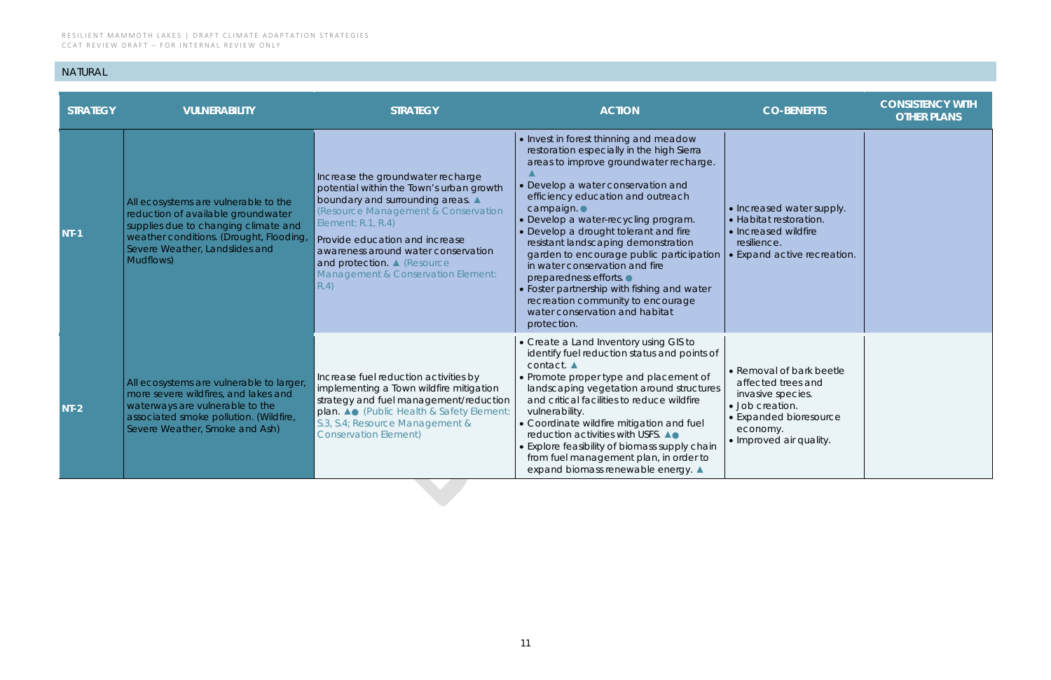| <b>CO-BENEFITS</b>                                                                                                                                      | <b>CONSISTENCY WITH</b><br><b>OTHER PLANS</b> |
|---------------------------------------------------------------------------------------------------------------------------------------------------------|-----------------------------------------------|
| • Increased water supply.<br>· Habitat restoration.<br>• Increased wildfire<br>resilience.<br>· Expand active recreation.                               |                                               |
| • Removal of bark beetle<br>affected trees and<br>invasive species.<br>· Job creation.<br>· Expanded bioresource<br>economy.<br>· Improved air quality. |                                               |

## NATURAL

| <b>STRATEGY</b> | <b>VULNERABILITY</b>                                                                                                                                                                                         | <b>STRATEGY</b>                                                                                                                                                                                                                                                                                                                      | <b>ACTION</b>                                                                                                                                                                                                                                                                                                                                                                                                                                                                                                                                                                             | <b>CO-BENEFITS</b>                                                                                                                                      | <b>CONSISTENCY WITH</b><br><b>OTHER PLANS</b> |
|-----------------|--------------------------------------------------------------------------------------------------------------------------------------------------------------------------------------------------------------|--------------------------------------------------------------------------------------------------------------------------------------------------------------------------------------------------------------------------------------------------------------------------------------------------------------------------------------|-------------------------------------------------------------------------------------------------------------------------------------------------------------------------------------------------------------------------------------------------------------------------------------------------------------------------------------------------------------------------------------------------------------------------------------------------------------------------------------------------------------------------------------------------------------------------------------------|---------------------------------------------------------------------------------------------------------------------------------------------------------|-----------------------------------------------|
| $NT-1$          | All ecosystems are vulnerable to the<br>reduction of available groundwater<br>supplies due to changing climate and<br>weather conditions. (Drought, Flooding,<br>Severe Weather, Landslides and<br>Mudflows) | Increase the groundwater recharge<br>potential within the Town's urban growth<br>boundary and surrounding areas. A<br>(Resource Management & Conservation<br>Element: R.1, R.4)<br>Provide education and increase<br>awareness around water conservation<br>and protection. A (Resource<br>Management & Conservation Element:<br>R.4 | • Invest in forest thinning and meadow<br>restoration especially in the high Sierra<br>areas to improve groundwater recharge.<br>• Develop a water conservation and<br>efficiency education and outreach<br>campaign.<br>• Develop a water-recycling program.<br>• Develop a drought tolerant and fire<br>resistant landscaping demonstration<br>garden to encourage public participation<br>in water conservation and fire<br>preparedness efforts.<br>• Foster partnership with fishing and water<br>recreation community to encourage<br>water conservation and habitat<br>protection. | • Increased water supply.<br>• Habitat restoration.<br>• Increased wildfire<br>resilience.<br>• Expand active recreation.                               |                                               |
| $NI-2$          | All ecosystems are vulnerable to larger,<br>more severe wildfires, and lakes and<br>waterways are vulnerable to the<br>associated smoke pollution. (Wildfire,<br>Severe Weather, Smoke and Ash)              | Increase fuel reduction activities by<br>implementing a Town wildfire mitigation<br>strategy and fuel management/reduction<br>plan. A. (Public Health & Safety Element:<br>S.3, S.4; Resource Management &<br><b>Conservation Element)</b>                                                                                           | • Create a Land Inventory using GIS to<br>identify fuel reduction status and points of<br>contact. ▲<br>• Promote proper type and placement of<br>landscaping vegetation around structures<br>and critical facilities to reduce wildfire<br>vulnerability.<br>• Coordinate wildfire mitigation and fuel<br>reduction activities with USFS. △●<br>• Explore feasibility of biomass supply chain<br>from fuel management plan, in order to<br>expand biomass renewable energy. ▲                                                                                                            | • Removal of bark beetle<br>affected trees and<br>invasive species.<br>· Job creation.<br>• Expanded bioresource<br>economy.<br>• Improved air quality. |                                               |